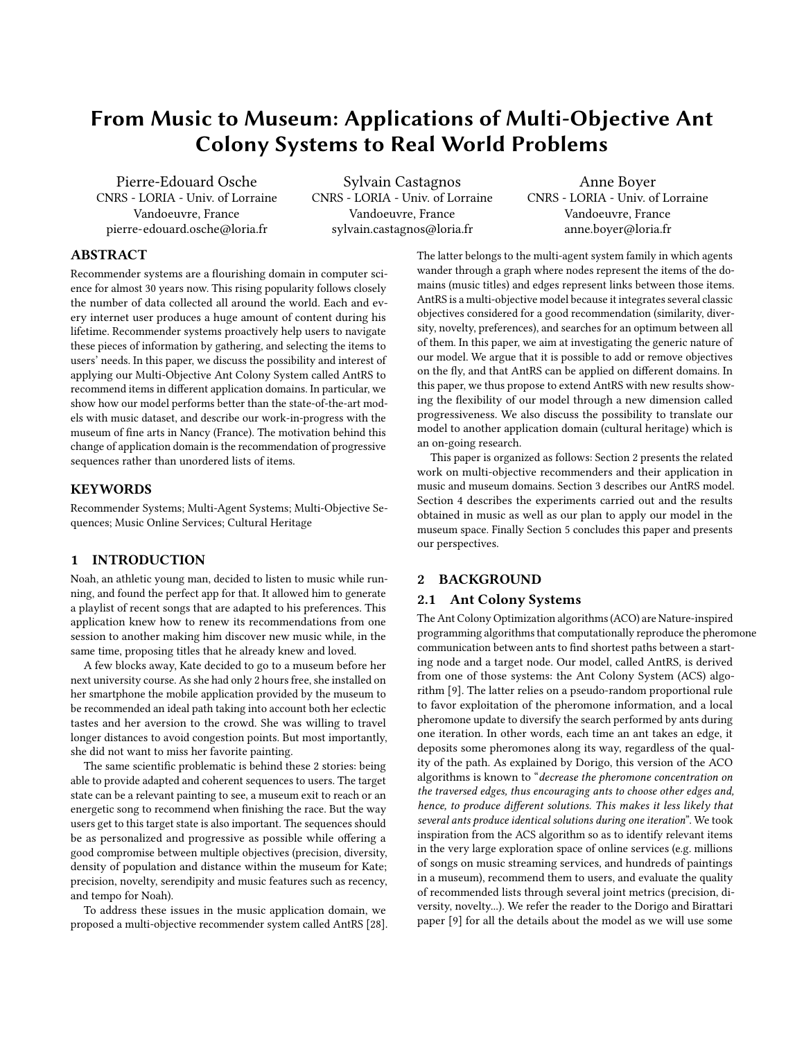# From Music to Museum: Applications of Multi-Objective Ant Colony Systems to Real World Problems

Pierre-Edouard Osche CNRS - LORIA - Univ. of Lorraine Vandoeuvre, France pierre-edouard.osche@loria.fr

Sylvain Castagnos CNRS - LORIA - Univ. of Lorraine Vandoeuvre, France sylvain.castagnos@loria.fr

Anne Boyer CNRS - LORIA - Univ. of Lorraine Vandoeuvre, France anne.boyer@loria.fr

## ABSTRACT

Recommender systems are a flourishing domain in computer science for almost 30 years now. This rising popularity follows closely the number of data collected all around the world. Each and every internet user produces a huge amount of content during his lifetime. Recommender systems proactively help users to navigate these pieces of information by gathering, and selecting the items to users' needs. In this paper, we discuss the possibility and interest of applying our Multi-Objective Ant Colony System called AntRS to recommend items in different application domains. In particular, we show how our model performs better than the state-of-the-art models with music dataset, and describe our work-in-progress with the museum of fine arts in Nancy (France). The motivation behind this change of application domain is the recommendation of progressive sequences rather than unordered lists of items.

#### **KEYWORDS**

Recommender Systems; Multi-Agent Systems; Multi-Objective Sequences; Music Online Services; Cultural Heritage

## 1 INTRODUCTION

Noah, an athletic young man, decided to listen to music while running, and found the perfect app for that. It allowed him to generate a playlist of recent songs that are adapted to his preferences. This application knew how to renew its recommendations from one session to another making him discover new music while, in the same time, proposing titles that he already knew and loved.

A few blocks away, Kate decided to go to a museum before her next university course. As she had only 2 hours free, she installed on her smartphone the mobile application provided by the museum to be recommended an ideal path taking into account both her eclectic tastes and her aversion to the crowd. She was willing to travel longer distances to avoid congestion points. But most importantly, she did not want to miss her favorite painting.

The same scientific problematic is behind these 2 stories: being able to provide adapted and coherent sequences to users. The target state can be a relevant painting to see, a museum exit to reach or an energetic song to recommend when finishing the race. But the way users get to this target state is also important. The sequences should be as personalized and progressive as possible while offering a good compromise between multiple objectives (precision, diversity, density of population and distance within the museum for Kate; precision, novelty, serendipity and music features such as recency, and tempo for Noah).

To address these issues in the music application domain, we proposed a multi-objective recommender system called AntRS [\[28\]](#page-7-0). The latter belongs to the multi-agent system family in which agents wander through a graph where nodes represent the items of the domains (music titles) and edges represent links between those items. AntRS is a multi-objective model because it integrates several classic objectives considered for a good recommendation (similarity, diversity, novelty, preferences), and searches for an optimum between all of them. In this paper, we aim at investigating the generic nature of our model. We argue that it is possible to add or remove objectives on the fly, and that AntRS can be applied on different domains. In this paper, we thus propose to extend AntRS with new results showing the flexibility of our model through a new dimension called progressiveness. We also discuss the possibility to translate our model to another application domain (cultural heritage) which is an on-going research.

This paper is organized as follows: Section [2](#page-0-0) presents the related work on multi-objective recommenders and their application in music and museum domains. Section [3](#page-2-0) describes our AntRS model. Section [4](#page-4-0) describes the experiments carried out and the results obtained in music as well as our plan to apply our model in the museum space. Finally Section [5](#page-6-0) concludes this paper and presents our perspectives.

# <span id="page-0-0"></span>2 BACKGROUND

#### 2.1 Ant Colony Systems

The Ant Colony Optimization algorithms (ACO) are Nature-inspired programming algorithms that computationally reproduce the pheromone communication between ants to find shortest paths between a starting node and a target node. Our model, called AntRS, is derived from one of those systems: the Ant Colony System (ACS) algorithm [\[9\]](#page-7-1). The latter relies on a pseudo-random proportional rule to favor exploitation of the pheromone information, and a local pheromone update to diversify the search performed by ants during one iteration. In other words, each time an ant takes an edge, it deposits some pheromones along its way, regardless of the quality of the path. As explained by Dorigo, this version of the ACO algorithms is known to "decrease the pheromone concentration on the traversed edges, thus encouraging ants to choose other edges and, hence, to produce different solutions. This makes it less likely that several ants produce identical solutions during one iteration". We took inspiration from the ACS algorithm so as to identify relevant items in the very large exploration space of online services (e.g. millions of songs on music streaming services, and hundreds of paintings in a museum), recommend them to users, and evaluate the quality of recommended lists through several joint metrics (precision, diversity, novelty...). We refer the reader to the Dorigo and Birattari paper [\[9\]](#page-7-1) for all the details about the model as we will use some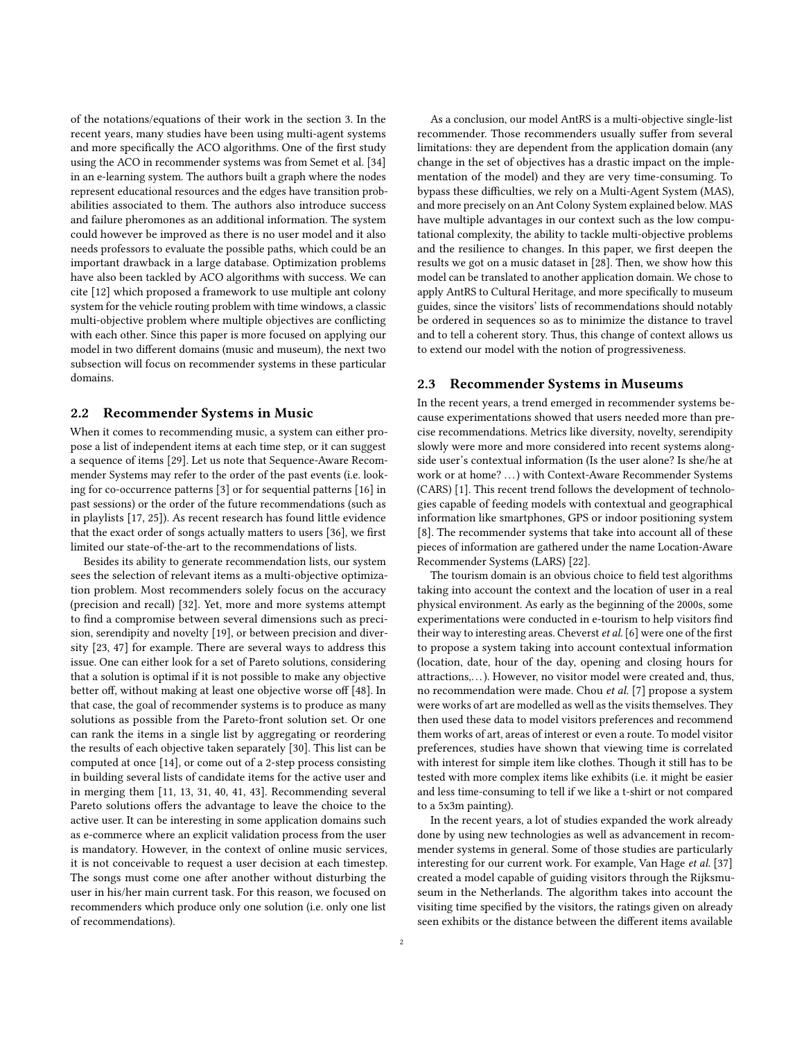of the notations/equations of their work in the section [3.](#page-2-0) In the recent years, many studies have been using multi-agent systems and more specifically the ACO algorithms. One of the first study using the ACO in recommender systems was from Semet et al. [\[34\]](#page-7-2) in an e-learning system. The authors built a graph where the nodes represent educational resources and the edges have transition probabilities associated to them. The authors also introduce success and failure pheromones as an additional information. The system could however be improved as there is no user model and it also needs professors to evaluate the possible paths, which could be an important drawback in a large database. Optimization problems have also been tackled by ACO algorithms with success. We can cite [\[12\]](#page-7-3) which proposed a framework to use multiple ant colony system for the vehicle routing problem with time windows, a classic multi-objective problem where multiple objectives are conflicting with each other. Since this paper is more focused on applying our model in two different domains (music and museum), the next two subsection will focus on recommender systems in these particular domains.

#### 2.2 Recommender Systems in Music

When it comes to recommending music, a system can either propose a list of independent items at each time step, or it can suggest a sequence of items [\[29\]](#page-7-4). Let us note that Sequence-Aware Recommender Systems may refer to the order of the past events (i.e. looking for co-occurrence patterns [\[3\]](#page-7-5) or for sequential patterns [\[16\]](#page-7-6) in past sessions) or the order of the future recommendations (such as in playlists [\[17,](#page-7-7) [25\]](#page-7-8)). As recent research has found little evidence that the exact order of songs actually matters to users [\[36\]](#page-7-9), we first limited our state-of-the-art to the recommendations of lists.

Besides its ability to generate recommendation lists, our system sees the selection of relevant items as a multi-objective optimization problem. Most recommenders solely focus on the accuracy (precision and recall) [\[32\]](#page-7-10). Yet, more and more systems attempt to find a compromise between several dimensions such as precision, serendipity and novelty [\[19\]](#page-7-11), or between precision and diversity [\[23,](#page-7-12) [47\]](#page-7-13) for example. There are several ways to address this issue. One can either look for a set of Pareto solutions, considering that a solution is optimal if it is not possible to make any objective better off, without making at least one objective worse off [\[48\]](#page-7-14). In that case, the goal of recommender systems is to produce as many solutions as possible from the Pareto-front solution set. Or one can rank the items in a single list by aggregating or reordering the results of each objective taken separately [\[30\]](#page-7-15). This list can be computed at once [\[14\]](#page-7-16), or come out of a 2-step process consisting in building several lists of candidate items for the active user and in merging them [\[11,](#page-7-17) [13,](#page-7-18) [31,](#page-7-19) [40,](#page-7-20) [41,](#page-7-21) [43\]](#page-7-22). Recommending several Pareto solutions offers the advantage to leave the choice to the active user. It can be interesting in some application domains such as e-commerce where an explicit validation process from the user is mandatory. However, in the context of online music services, it is not conceivable to request a user decision at each timestep. The songs must come one after another without disturbing the user in his/her main current task. For this reason, we focused on recommenders which produce only one solution (i.e. only one list of recommendations).

As a conclusion, our model AntRS is a multi-objective single-list recommender. Those recommenders usually suffer from several limitations: they are dependent from the application domain (any change in the set of objectives has a drastic impact on the implementation of the model) and they are very time-consuming. To bypass these difficulties, we rely on a Multi-Agent System (MAS), and more precisely on an Ant Colony System explained below. MAS have multiple advantages in our context such as the low computational complexity, the ability to tackle multi-objective problems and the resilience to changes. In this paper, we first deepen the results we got on a music dataset in [\[28\]](#page-7-0). Then, we show how this model can be translated to another application domain. We chose to apply AntRS to Cultural Heritage, and more specifically to museum guides, since the visitors' lists of recommendations should notably be ordered in sequences so as to minimize the distance to travel and to tell a coherent story. Thus, this change of context allows us to extend our model with the notion of progressiveness.

#### 2.3 Recommender Systems in Museums

In the recent years, a trend emerged in recommender systems because experimentations showed that users needed more than precise recommendations. Metrics like diversity, novelty, serendipity slowly were more and more considered into recent systems alongside user's contextual information (Is the user alone? Is she/he at work or at home? . . .) with Context-Aware Recommender Systems (CARS) [\[1\]](#page-6-1). This recent trend follows the development of technologies capable of feeding models with contextual and geographical information like smartphones, GPS or indoor positioning system [\[8\]](#page-7-23). The recommender systems that take into account all of these pieces of information are gathered under the name Location-Aware Recommender Systems (LARS) [\[22\]](#page-7-24).

The tourism domain is an obvious choice to field test algorithms taking into account the context and the location of user in a real physical environment. As early as the beginning of the 2000s, some experimentations were conducted in e-tourism to help visitors find their way to interesting areas. Cheverst et al. [\[6\]](#page-7-25) were one of the first to propose a system taking into account contextual information (location, date, hour of the day, opening and closing hours for attractions,. . .). However, no visitor model were created and, thus, no recommendation were made. Chou et al. [\[7\]](#page-7-26) propose a system were works of art are modelled as well as the visits themselves. They then used these data to model visitors preferences and recommend them works of art, areas of interest or even a route. To model visitor preferences, studies have shown that viewing time is correlated with interest for simple item like clothes. Though it still has to be tested with more complex items like exhibits (i.e. it might be easier and less time-consuming to tell if we like a t-shirt or not compared to a 5x3m painting).

In the recent years, a lot of studies expanded the work already done by using new technologies as well as advancement in recommender systems in general. Some of those studies are particularly interesting for our current work. For example, Van Hage et al. [\[37\]](#page-7-27) created a model capable of guiding visitors through the Rijksmuseum in the Netherlands. The algorithm takes into account the visiting time specified by the visitors, the ratings given on already seen exhibits or the distance between the different items available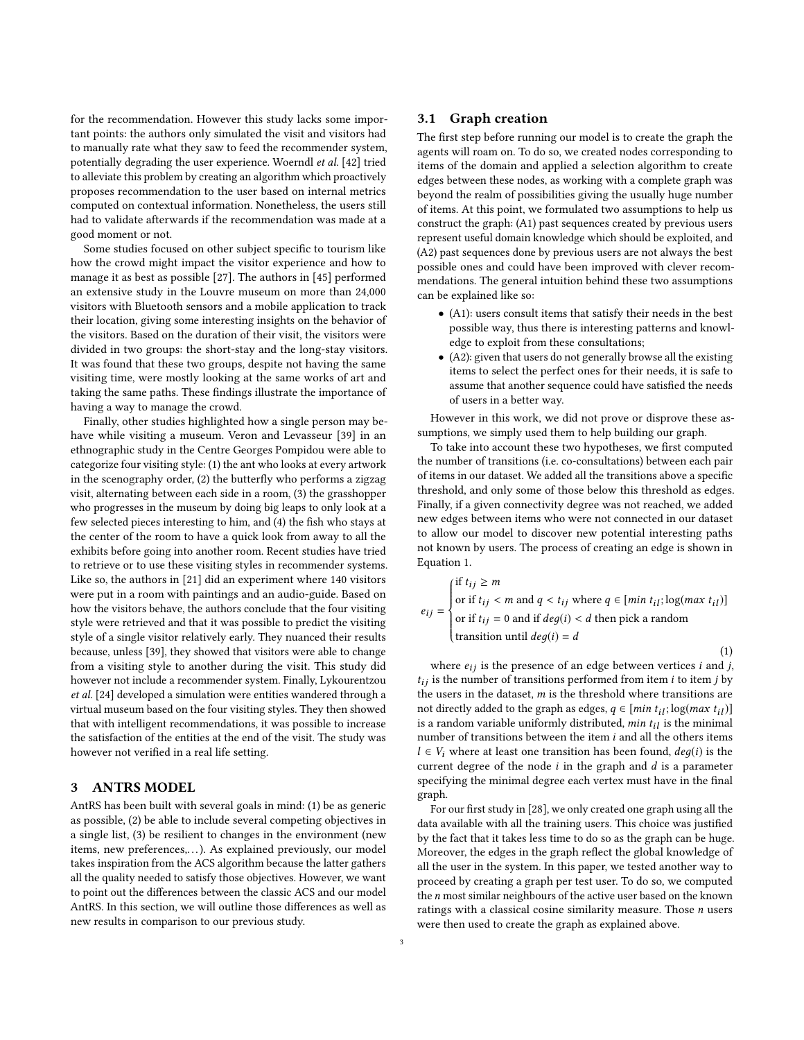for the recommendation. However this study lacks some important points: the authors only simulated the visit and visitors had to manually rate what they saw to feed the recommender system, potentially degrading the user experience. Woerndl et al. [\[42\]](#page-7-28) tried to alleviate this problem by creating an algorithm which proactively proposes recommendation to the user based on internal metrics computed on contextual information. Nonetheless, the users still had to validate afterwards if the recommendation was made at a good moment or not.

Some studies focused on other subject specific to tourism like how the crowd might impact the visitor experience and how to manage it as best as possible [\[27\]](#page-7-29). The authors in [\[45\]](#page-7-30) performed an extensive study in the Louvre museum on more than 24,000 visitors with Bluetooth sensors and a mobile application to track their location, giving some interesting insights on the behavior of the visitors. Based on the duration of their visit, the visitors were divided in two groups: the short-stay and the long-stay visitors. It was found that these two groups, despite not having the same visiting time, were mostly looking at the same works of art and taking the same paths. These findings illustrate the importance of having a way to manage the crowd.

Finally, other studies highlighted how a single person may behave while visiting a museum. Veron and Levasseur [\[39\]](#page-7-31) in an ethnographic study in the Centre Georges Pompidou were able to categorize four visiting style: (1) the ant who looks at every artwork in the scenography order, (2) the butterfly who performs a zigzag visit, alternating between each side in a room, (3) the grasshopper who progresses in the museum by doing big leaps to only look at a few selected pieces interesting to him, and (4) the fish who stays at the center of the room to have a quick look from away to all the exhibits before going into another room. Recent studies have tried to retrieve or to use these visiting styles in recommender systems. Like so, the authors in [\[21\]](#page-7-32) did an experiment where 140 visitors were put in a room with paintings and an audio-guide. Based on how the visitors behave, the authors conclude that the four visiting style were retrieved and that it was possible to predict the visiting style of a single visitor relatively early. They nuanced their results because, unless [\[39\]](#page-7-31), they showed that visitors were able to change from a visiting style to another during the visit. This study did however not include a recommender system. Finally, Lykourentzou et al. [\[24\]](#page-7-33) developed a simulation were entities wandered through a virtual museum based on the four visiting styles. They then showed that with intelligent recommendations, it was possible to increase the satisfaction of the entities at the end of the visit. The study was however not verified in a real life setting.

# <span id="page-2-0"></span>3 ANTRS MODEL

AntRS has been built with several goals in mind: (1) be as generic as possible, (2) be able to include several competing objectives in a single list, (3) be resilient to changes in the environment (new items, new preferences,. . .). As explained previously, our model takes inspiration from the ACS algorithm because the latter gathers all the quality needed to satisfy those objectives. However, we want to point out the differences between the classic ACS and our model AntRS. In this section, we will outline those differences as well as new results in comparison to our previous study.

## <span id="page-2-2"></span>3.1 Graph creation

The first step before running our model is to create the graph the agents will roam on. To do so, we created nodes corresponding to items of the domain and applied a selection algorithm to create edges between these nodes, as working with a complete graph was beyond the realm of possibilities giving the usually huge number of items. At this point, we formulated two assumptions to help us construct the graph: (A1) past sequences created by previous users represent useful domain knowledge which should be exploited, and (A2) past sequences done by previous users are not always the best possible ones and could have been improved with clever recommendations. The general intuition behind these two assumptions can be explained like so:

- (A1): users consult items that satisfy their needs in the best possible way, thus there is interesting patterns and knowledge to exploit from these consultations;
- (A2): given that users do not generally browse all the existing items to select the perfect ones for their needs, it is safe to assume that another sequence could have satisfied the needs of users in a better way.

However in this work, we did not prove or disprove these assumptions, we simply used them to help building our graph.

To take into account these two hypotheses, we first computed the number of transitions (i.e. co-consultations) between each pair of items in our dataset. We added all the transitions above a specific threshold, and only some of those below this threshold as edges. Finally, if a given connectivity degree was not reached, we added new edges between items who were not connected in our dataset to allow our model to discover new potential interesting paths not known by users. The process of creating an edge is shown in Equation [1.](#page-2-1)

<span id="page-2-1"></span>
$$
e_{ij} = \begin{cases} \text{if } t_{ij} \ge m \\ \text{or if } t_{ij} < m \text{ and } q < t_{ij} \text{ where } q \in [\min t_{il}; \log(\max t_{il})] \\ \text{or if } t_{ij} = 0 \text{ and if } \deg(i) < d \text{ then pick a random} \\ \text{transition until } \deg(i) = d \end{cases} \tag{1}
$$

where  $e_{ij}$  is the presence of an edge between vertices  $i$  and  $j$ ,  $t_{ij}$  is the number of transitions performed from item i to item j by the users in the dataset,  $m$  is the threshold where transitions are not directly added to the graph as edges,  $q \in [min t_{il}; log(max t_{il})]$ is a random variable uniformly distributed, min  $t_{il}$  is the minimal number of transitions between the item i and all the others items  $l \in V_i$  where at least one transition has been found,  $deg(i)$  is the current degree of the node  $i$  in the graph and  $d$  is a parameter specifying the minimal degree each vertex must have in the final graph.

For our first study in [\[28\]](#page-7-0), we only created one graph using all the data available with all the training users. This choice was justified by the fact that it takes less time to do so as the graph can be huge. Moreover, the edges in the graph reflect the global knowledge of all the user in the system. In this paper, we tested another way to proceed by creating a graph per test user. To do so, we computed the n most similar neighbours of the active user based on the known ratings with a classical cosine similarity measure. Those  $n$  users were then used to create the graph as explained above.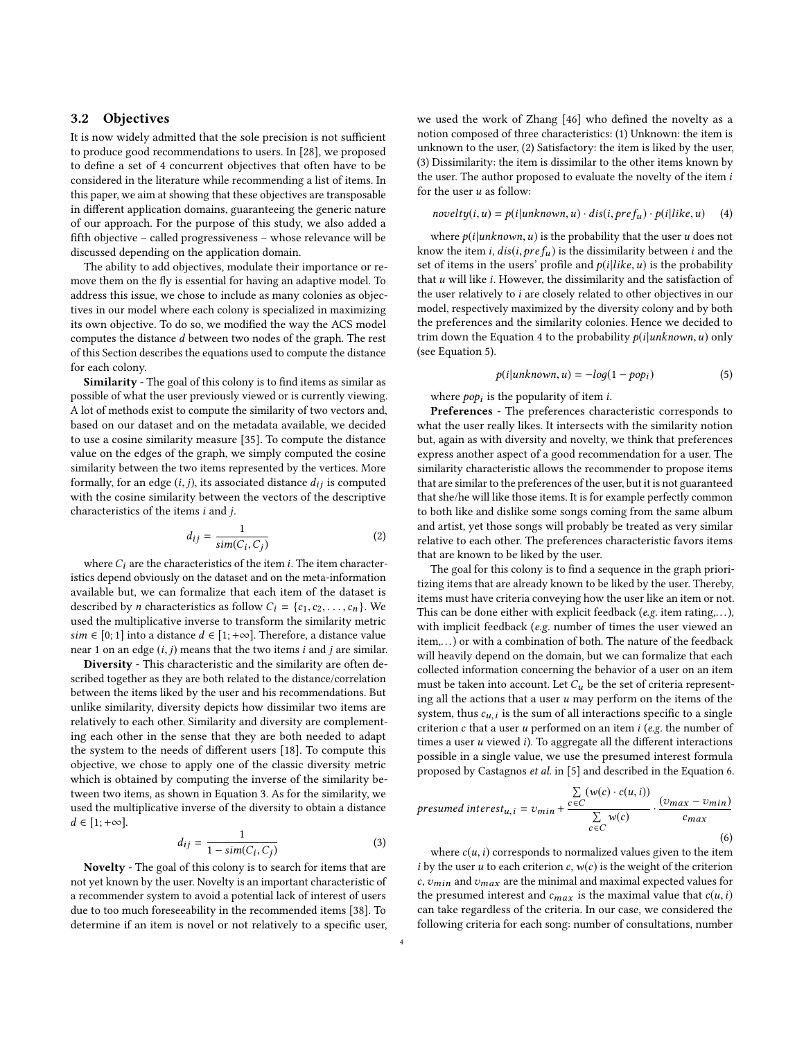## 3.2 Objectives

It is now widely admitted that the sole precision is not sufficient to produce good recommendations to users. In [\[28\]](#page-7-0), we proposed to define a set of 4 concurrent objectives that often have to be considered in the literature while recommending a list of items. In this paper, we aim at showing that these objectives are transposable in different application domains, guaranteeing the generic nature of our approach. For the purpose of this study, we also added a fifth objective – called progressiveness – whose relevance will be discussed depending on the application domain.

The ability to add objectives, modulate their importance or remove them on the fly is essential for having an adaptive model. To address this issue, we chose to include as many colonies as objectives in our model where each colony is specialized in maximizing its own objective. To do so, we modified the way the ACS model computes the distance d between two nodes of the graph. The rest of this Section describes the equations used to compute the distance for each colony.

Similarity - The goal of this colony is to find items as similar as possible of what the user previously viewed or is currently viewing. A lot of methods exist to compute the similarity of two vectors and, based on our dataset and on the metadata available, we decided to use a cosine similarity measure [\[35\]](#page-7-34). To compute the distance value on the edges of the graph, we simply computed the cosine similarity between the two items represented by the vertices. More formally, for an edge  $(i, j)$ , its associated distance  $d_{ij}$  is computed with the cosine similarity between the vectors of the descriptive characteristics of the items  $i$  and  $j$ .

$$
d_{ij} = \frac{1}{\text{sim}(C_i, C_j)}
$$
 (2)

where  $C_i$  are the characteristics of the item *i*. The item character-<br>is depend obviously on the dataset and on the meta-information istics depend obviously on the dataset and on the meta-information available but, we can formalize that each item of the dataset is described by *n* characteristics as follow  $C_i = \{c_1, c_2, \ldots, c_n\}$ . We used the multiplicative inverse to transform the similarity metric sim ∈ [0; 1] into a distance  $d$  ∈ [1; +∞]. Therefore, a distance value near 1 on an edge  $(i, j)$  means that the two items  $i$  and  $j$  are similar.

Diversity - This characteristic and the similarity are often described together as they are both related to the distance/correlation between the items liked by the user and his recommendations. But unlike similarity, diversity depicts how dissimilar two items are relatively to each other. Similarity and diversity are complementing each other in the sense that they are both needed to adapt the system to the needs of different users [\[18\]](#page-7-35). To compute this objective, we chose to apply one of the classic diversity metric which is obtained by computing the inverse of the similarity between two items, as shown in Equation [3.](#page-3-0) As for the similarity, we used the multiplicative inverse of the diversity to obtain a distance  $d \in [1; +\infty]$ .

<span id="page-3-0"></span>
$$
d_{ij} = \frac{1}{1 - sim(C_i, C_j)}
$$
\n(3)

 $a_{ij}$  =  $1 - sim(C_i, C_j)$ <br>Novelty - The goal of this colony is to search for items that are not yet known by the user. Novelty is an important characteristic of a recommender system to avoid a potential lack of interest of users due to too much foreseeability in the recommended items [\[38\]](#page-7-36). To determine if an item is novel or not relatively to a specific user, we used the work of Zhang [\[46\]](#page-7-37) who defined the novelty as a notion composed of three characteristics: (1) Unknown: the item is unknown to the user, (2) Satisfactory: the item is liked by the user, (3) Dissimilarity: the item is dissimilar to the other items known by the user. The author proposed to evaluate the novelty of the item i for the user  $u$  as follow:

<span id="page-3-1"></span>
$$
novelty(i, u) = p(i|unknown, u) \cdot dis(i, pref_u) \cdot p(i|like, u) \quad (4)
$$

where  $p(i|unknown, u)$  is the probability that the user u does not know the item i,  $dis(i,pref_u)$  is the dissimilarity between i and the set of items in the users' profile and  $p(i|like, u)$  is the probability that  $u$  will like  $i$ . However, the dissimilarity and the satisfaction of the user relatively to i are closely related to other objectives in our model, respectively maximized by the diversity colony and by both the preferences and the similarity colonies. Hence we decided to trim down the Equation [4](#page-3-1) to the probability  $p(i|unknown, u)$  only (see Equation [5\)](#page-3-2).

<span id="page-3-2"></span>
$$
p(i|unknown, u) = -log(1 - popi)
$$
\n(5)

where  $pop_i$  is the popularity of item *i*.<br>**Preferences** - The preferences chara

Preferences - The preferences characteristic corresponds to what the user really likes. It intersects with the similarity notion but, again as with diversity and novelty, we think that preferences express another aspect of a good recommendation for a user. The similarity characteristic allows the recommender to propose items that are similar to the preferences of the user, but it is not guaranteed that she/he will like those items. It is for example perfectly common to both like and dislike some songs coming from the same album and artist, yet those songs will probably be treated as very similar relative to each other. The preferences characteristic favors items that are known to be liked by the user.

The goal for this colony is to find a sequence in the graph prioritizing items that are already known to be liked by the user. Thereby, items must have criteria conveying how the user like an item or not. This can be done either with explicit feedback (e.g. item rating,. . .), with implicit feedback (e.g. number of times the user viewed an item,. . .) or with a combination of both. The nature of the feedback will heavily depend on the domain, but we can formalize that each collected information concerning the behavior of a user on an item must be taken into account. Let  $C_u$  be the set of criteria representing all the actions that a user  $u$  may perform on the items of the system, thus  $c_{u,i}$  is the sum of all interactions specific to a single<br>criterion c that a user u performed on an item i (e.g. the number of criterion  $c$  that a user  $u$  performed on an item  $i$  (e.g. the number of times a user  $u$  viewed  $i$ ). To aggregate all the different interactions possible in a single value, we use the presumed interest formula proposed by Castagnos et al. in [\[5\]](#page-7-38) and described in the Equation [6.](#page-3-3)

<span id="page-3-3"></span>
$$
presumed interest_{u,i} = v_{min} + \frac{\sum_{c \in C} (w(c) \cdot c(u,i))}{\sum_{c \in C} w(c)} \cdot \frac{(v_{max} - v_{min})}{c_{max}}
$$
(6)

where  $c(u, i)$  corresponds to normalized values given to the item i by the user u to each criterion c,  $w(c)$  is the weight of the criterion c,  $v_{min}$  and  $v_{max}$  are the minimal and maximal expected values for the presumed interest and  $c_{max}$  is the maximal value that  $c(u, i)$ can take regardless of the criteria. In our case, we considered the following criteria for each song: number of consultations, number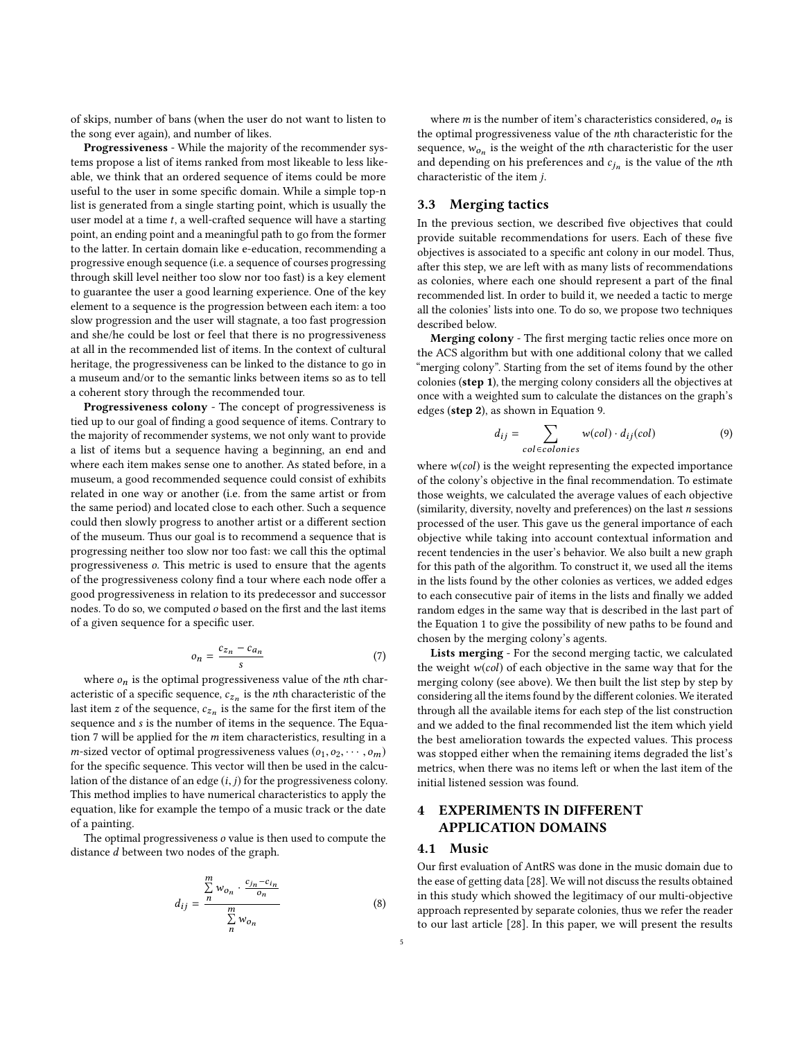of skips, number of bans (when the user do not want to listen to the song ever again), and number of likes.

Progressiveness - While the majority of the recommender systems propose a list of items ranked from most likeable to less likeable, we think that an ordered sequence of items could be more useful to the user in some specific domain. While a simple top-n list is generated from a single starting point, which is usually the user model at a time  $t$ , a well-crafted sequence will have a starting point, an ending point and a meaningful path to go from the former to the latter. In certain domain like e-education, recommending a progressive enough sequence (i.e. a sequence of courses progressing through skill level neither too slow nor too fast) is a key element to guarantee the user a good learning experience. One of the key element to a sequence is the progression between each item: a too slow progression and the user will stagnate, a too fast progression and she/he could be lost or feel that there is no progressiveness at all in the recommended list of items. In the context of cultural heritage, the progressiveness can be linked to the distance to go in a museum and/or to the semantic links between items so as to tell a coherent story through the recommended tour.

Progressiveness colony - The concept of progressiveness is tied up to our goal of finding a good sequence of items. Contrary to the majority of recommender systems, we not only want to provide a list of items but a sequence having a beginning, an end and where each item makes sense one to another. As stated before, in a museum, a good recommended sequence could consist of exhibits related in one way or another (i.e. from the same artist or from the same period) and located close to each other. Such a sequence could then slowly progress to another artist or a different section of the museum. Thus our goal is to recommend a sequence that is progressing neither too slow nor too fast: we call this the optimal progressiveness o. This metric is used to ensure that the agents of the progressiveness colony find a tour where each node offer a good progressiveness in relation to its predecessor and successor nodes. To do so, we computed o based on the first and the last items of a given sequence for a specific user.

<span id="page-4-1"></span>
$$
o_n = \frac{c_{z_n} - c_{a_n}}{s} \tag{7}
$$

where  $o_n$  is the optimal progressiveness value of the *n*th char-<br>pristic of a specific sequence  $c_n$  is the *n*th characteristic of the acteristic of a specific sequence,  $c_{z_n}$  is the *n*th characteristic of the last item z of the sequence  $c_{z_n}$  is the same for the first item of the last item z of the sequence,  $c_{z_n}$  is the same for the first item of the sequence and s is the number of items in the sequence. The Fause sequence and s is the number of items in the sequence. The Equa-tion [7](#page-4-1) will be applied for the  $m$  item characteristics, resulting in a *m*-sized vector of optimal progressiveness values  $(o_1, o_2, \dots, o_m)$ for the specific sequence. This vector will then be used in the calculation of the distance of an edge  $(i, j)$  for the progressiveness colony. This method implies to have numerical characteristics to apply the equation, like for example the tempo of a music track or the date of a painting.

The optimal progressiveness o value is then used to compute the distance d between two nodes of the graph.

$$
d_{ij} = \frac{\sum_{n=1}^{m} w_{o_n} \cdot \frac{c_{j_n} - c_{i_n}}{o_n}}{\sum_{n=1}^{m} w_{o_n}}
$$
 (8)

where  $m$  is the number of item's characteristics considered,  $o_n$  is the optimal progressiveness value of the nth characteristic for the sequence,  $w_{o_n}$  is the weight of the *n*th characteristic for the user<br>and depending on his preferences and  $c_i$  is the value of the *n*th and depending on his preferences and  $c_{j_n}$  is the value of the *n*th characteristic of the item *i* characteristic of the item j.

## <span id="page-4-3"></span>3.3 Merging tactics

In the previous section, we described five objectives that could provide suitable recommendations for users. Each of these five objectives is associated to a specific ant colony in our model. Thus, after this step, we are left with as many lists of recommendations as colonies, where each one should represent a part of the final recommended list. In order to build it, we needed a tactic to merge all the colonies' lists into one. To do so, we propose two techniques described below.

Merging colony - The first merging tactic relies once more on the ACS algorithm but with one additional colony that we called "merging colony". Starting from the set of items found by the other colonies (step 1), the merging colony considers all the objectives at once with a weighted sum to calculate the distances on the graph's edges (step 2), as shown in Equation [9.](#page-4-2)

<span id="page-4-2"></span>
$$
d_{ij} = \sum_{col\in colonies} w(col) \cdot d_{ij}(col) \tag{9}
$$

where  $w(col)$  is the weight representing the expected importance of the colony's objective in the final recommendation. To estimate those weights, we calculated the average values of each objective (similarity, diversity, novelty and preferences) on the last n sessions processed of the user. This gave us the general importance of each objective while taking into account contextual information and recent tendencies in the user's behavior. We also built a new graph for this path of the algorithm. To construct it, we used all the items in the lists found by the other colonies as vertices, we added edges to each consecutive pair of items in the lists and finally we added random edges in the same way that is described in the last part of the Equation [1](#page-2-1) to give the possibility of new paths to be found and chosen by the merging colony's agents.

Lists merging - For the second merging tactic, we calculated the weight  $w(col)$  of each objective in the same way that for the merging colony (see above). We then built the list step by step by considering all the items found by the different colonies. We iterated through all the available items for each step of the list construction and we added to the final recommended list the item which yield the best amelioration towards the expected values. This process was stopped either when the remaining items degraded the list's metrics, when there was no items left or when the last item of the initial listened session was found.

# <span id="page-4-0"></span>4 EXPERIMENTS IN DIFFERENT APPLICATION DOMAINS

## 4.1 Music

Our first evaluation of AntRS was done in the music domain due to the ease of getting data [\[28\]](#page-7-0). We will not discuss the results obtained in this study which showed the legitimacy of our multi-objective approach represented by separate colonies, thus we refer the reader to our last article [\[28\]](#page-7-0). In this paper, we will present the results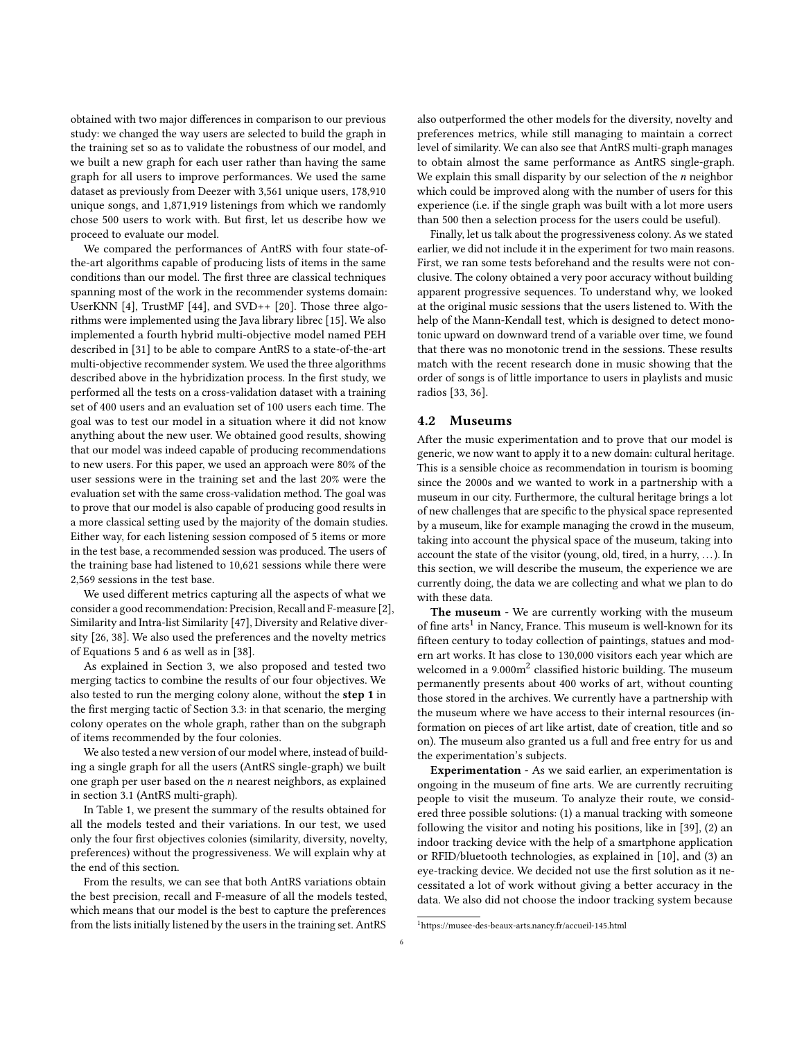obtained with two major differences in comparison to our previous study: we changed the way users are selected to build the graph in the training set so as to validate the robustness of our model, and we built a new graph for each user rather than having the same graph for all users to improve performances. We used the same dataset as previously from Deezer with 3,561 unique users, 178,910 unique songs, and 1,871,919 listenings from which we randomly chose 500 users to work with. But first, let us describe how we proceed to evaluate our model.

We compared the performances of AntRS with four state-ofthe-art algorithms capable of producing lists of items in the same conditions than our model. The first three are classical techniques spanning most of the work in the recommender systems domain: UserKNN [\[4\]](#page-7-39), TrustMF [\[44\]](#page-7-40), and SVD++ [\[20\]](#page-7-41). Those three algorithms were implemented using the Java library librec [\[15\]](#page-7-42). We also implemented a fourth hybrid multi-objective model named PEH described in [\[31\]](#page-7-19) to be able to compare AntRS to a state-of-the-art multi-objective recommender system. We used the three algorithms described above in the hybridization process. In the first study, we performed all the tests on a cross-validation dataset with a training set of 400 users and an evaluation set of 100 users each time. The goal was to test our model in a situation where it did not know anything about the new user. We obtained good results, showing that our model was indeed capable of producing recommendations to new users. For this paper, we used an approach were 80% of the user sessions were in the training set and the last 20% were the evaluation set with the same cross-validation method. The goal was to prove that our model is also capable of producing good results in a more classical setting used by the majority of the domain studies. Either way, for each listening session composed of 5 items or more in the test base, a recommended session was produced. The users of the training base had listened to 10,621 sessions while there were 2,569 sessions in the test base.

We used different metrics capturing all the aspects of what we consider a good recommendation: Precision, Recall and F-measure [\[2\]](#page-7-43), Similarity and Intra-list Similarity [\[47\]](#page-7-13), Diversity and Relative diversity [\[26,](#page-7-44) [38\]](#page-7-36). We also used the preferences and the novelty metrics of Equations [5](#page-3-2) and [6](#page-3-3) as well as in [\[38\]](#page-7-36).

As explained in Section [3,](#page-2-0) we also proposed and tested two merging tactics to combine the results of our four objectives. We also tested to run the merging colony alone, without the step 1 in the first merging tactic of Section [3.3:](#page-4-3) in that scenario, the merging colony operates on the whole graph, rather than on the subgraph of items recommended by the four colonies.

We also tested a new version of our model where, instead of building a single graph for all the users (AntRS single-graph) we built one graph per user based on the  $n$  nearest neighbors, as explained in section [3.1](#page-2-2) (AntRS multi-graph).

In Table [1,](#page-6-2) we present the summary of the results obtained for all the models tested and their variations. In our test, we used only the four first objectives colonies (similarity, diversity, novelty, preferences) without the progressiveness. We will explain why at the end of this section.

From the results, we can see that both AntRS variations obtain the best precision, recall and F-measure of all the models tested, which means that our model is the best to capture the preferences from the lists initially listened by the users in the training set. AntRS

also outperformed the other models for the diversity, novelty and preferences metrics, while still managing to maintain a correct level of similarity. We can also see that AntRS multi-graph manages to obtain almost the same performance as AntRS single-graph. We explain this small disparity by our selection of the  $n$  neighbor which could be improved along with the number of users for this experience (i.e. if the single graph was built with a lot more users than 500 then a selection process for the users could be useful).

Finally, let us talk about the progressiveness colony. As we stated earlier, we did not include it in the experiment for two main reasons. First, we ran some tests beforehand and the results were not conclusive. The colony obtained a very poor accuracy without building apparent progressive sequences. To understand why, we looked at the original music sessions that the users listened to. With the help of the Mann-Kendall test, which is designed to detect monotonic upward on downward trend of a variable over time, we found that there was no monotonic trend in the sessions. These results match with the recent research done in music showing that the order of songs is of little importance to users in playlists and music radios [\[33,](#page-7-45) [36\]](#page-7-9).

## 4.2 Museums

After the music experimentation and to prove that our model is generic, we now want to apply it to a new domain: cultural heritage. This is a sensible choice as recommendation in tourism is booming since the 2000s and we wanted to work in a partnership with a museum in our city. Furthermore, the cultural heritage brings a lot of new challenges that are specific to the physical space represented by a museum, like for example managing the crowd in the museum, taking into account the physical space of the museum, taking into account the state of the visitor (young, old, tired, in a hurry, . . .). In this section, we will describe the museum, the experience we are currently doing, the data we are collecting and what we plan to do with these data.

The museum - We are currently working with the museum of fine  $arts<sup>1</sup>$  $arts<sup>1</sup>$  $arts<sup>1</sup>$  in Nancy, France. This museum is well-known for its fifteen century to today collection of paintings, statues and modern art works. It has close to 130,000 visitors each year which are welcomed in a 9.000m<sup>2</sup> classified historic building. The museum permanently presents about 400 works of art, without counting those stored in the archives. We currently have a partnership with the museum where we have access to their internal resources (information on pieces of art like artist, date of creation, title and so on). The museum also granted us a full and free entry for us and the experimentation's subjects.

Experimentation - As we said earlier, an experimentation is ongoing in the museum of fine arts. We are currently recruiting people to visit the museum. To analyze their route, we considered three possible solutions: (1) a manual tracking with someone following the visitor and noting his positions, like in [\[39\]](#page-7-31), (2) an indoor tracking device with the help of a smartphone application or RFID/bluetooth technologies, as explained in [\[10\]](#page-7-46), and (3) an eye-tracking device. We decided not use the first solution as it necessitated a lot of work without giving a better accuracy in the data. We also did not choose the indoor tracking system because

<span id="page-5-0"></span><sup>1</sup>https://musee-des-beaux-arts.nancy.fr/accueil-145.html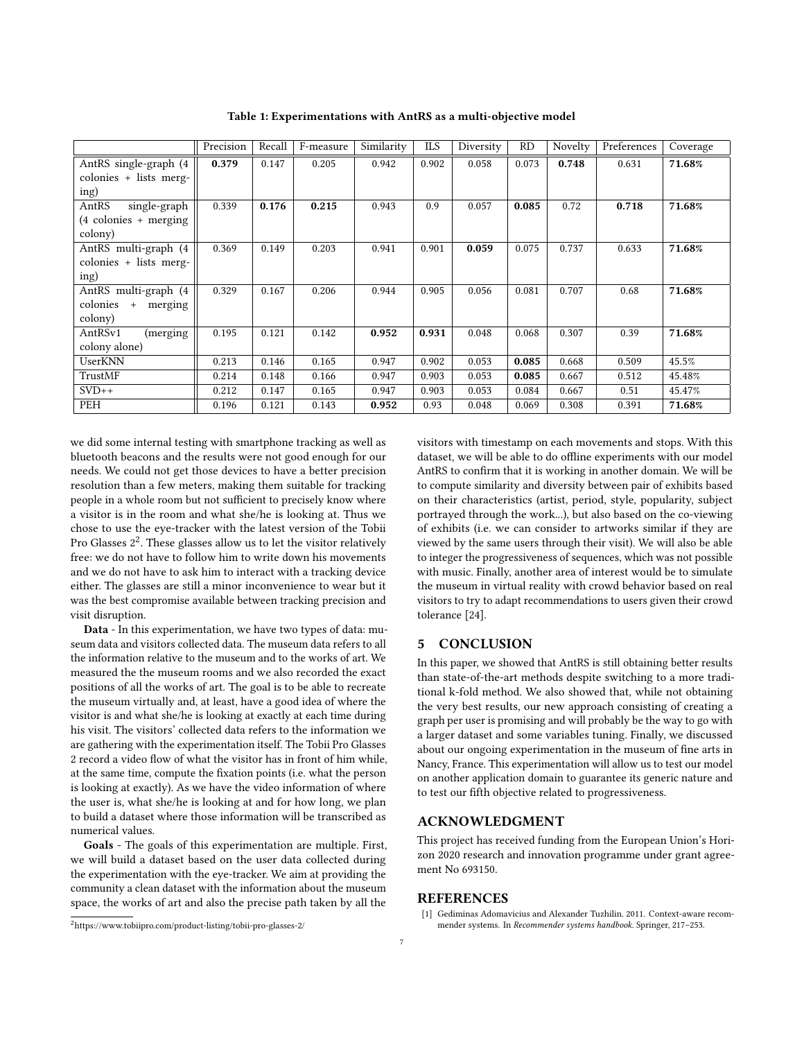<span id="page-6-2"></span>

|                         | Precision | Recall | F-measure | Similarity | <b>ILS</b> | Diversity | <b>RD</b> | Novelty | Preferences | Coverage |
|-------------------------|-----------|--------|-----------|------------|------------|-----------|-----------|---------|-------------|----------|
| AntRS single-graph (4   | 0.379     | 0.147  | 0.205     | 0.942      | 0.902      | 0.058     | 0.073     | 0.748   | 0.631       | 71.68%   |
| colonies + lists merg-  |           |        |           |            |            |           |           |         |             |          |
| ing)                    |           |        |           |            |            |           |           |         |             |          |
| single-graph<br>AntRS   | 0.339     | 0.176  | 0.215     | 0.943      | 0.9        | 0.057     | 0.085     | 0.72    | 0.718       | 71.68%   |
| $(4$ colonies + merging |           |        |           |            |            |           |           |         |             |          |
| colony)                 |           |        |           |            |            |           |           |         |             |          |
| AntRS multi-graph (4    | 0.369     | 0.149  | 0.203     | 0.941      | 0.901      | 0.059     | 0.075     | 0.737   | 0.633       | 71.68%   |
| colonies + lists merg-  |           |        |           |            |            |           |           |         |             |          |
| ing)                    |           |        |           |            |            |           |           |         |             |          |
| AntRS multi-graph (4    | 0.329     | 0.167  | 0.206     | 0.944      | 0.905      | 0.056     | 0.081     | 0.707   | 0.68        | 71.68%   |
| colonies + merging      |           |        |           |            |            |           |           |         |             |          |
| colony)                 |           |        |           |            |            |           |           |         |             |          |
| AntRSv1<br>(merging)    | 0.195     | 0.121  | 0.142     | 0.952      | 0.931      | 0.048     | 0.068     | 0.307   | 0.39        | 71.68%   |
| colony alone)           |           |        |           |            |            |           |           |         |             |          |
| <b>UserKNN</b>          | 0.213     | 0.146  | 0.165     | 0.947      | 0.902      | 0.053     | 0.085     | 0.668   | 0.509       | 45.5%    |
| TrustMF                 | 0.214     | 0.148  | 0.166     | 0.947      | 0.903      | 0.053     | 0.085     | 0.667   | 0.512       | 45.48%   |
| $SVD++$                 | 0.212     | 0.147  | 0.165     | 0.947      | 0.903      | 0.053     | 0.084     | 0.667   | 0.51        | 45.47%   |
| PEH                     | 0.196     | 0.121  | 0.143     | 0.952      | 0.93       | 0.048     | 0.069     | 0.308   | 0.391       | 71.68%   |

Table 1: Experimentations with AntRS as a multi-objective model

we did some internal testing with smartphone tracking as well as bluetooth beacons and the results were not good enough for our needs. We could not get those devices to have a better precision resolution than a few meters, making them suitable for tracking people in a whole room but not sufficient to precisely know where a visitor is in the room and what she/he is looking at. Thus we chose to use the eye-tracker with the latest version of the Tobii Pro Glasses  $2^2.$  $2^2.$  These glasses allow us to let the visitor relatively free: we do not have to follow him to write down his movements and we do not have to ask him to interact with a tracking device either. The glasses are still a minor inconvenience to wear but it was the best compromise available between tracking precision and visit disruption.

Data - In this experimentation, we have two types of data: museum data and visitors collected data. The museum data refers to all the information relative to the museum and to the works of art. We measured the the museum rooms and we also recorded the exact positions of all the works of art. The goal is to be able to recreate the museum virtually and, at least, have a good idea of where the visitor is and what she/he is looking at exactly at each time during his visit. The visitors' collected data refers to the information we are gathering with the experimentation itself. The Tobii Pro Glasses 2 record a video flow of what the visitor has in front of him while, at the same time, compute the fixation points (i.e. what the person is looking at exactly). As we have the video information of where the user is, what she/he is looking at and for how long, we plan to build a dataset where those information will be transcribed as numerical values.

Goals - The goals of this experimentation are multiple. First, we will build a dataset based on the user data collected during the experimentation with the eye-tracker. We aim at providing the community a clean dataset with the information about the museum space, the works of art and also the precise path taken by all the

visitors with timestamp on each movements and stops. With this dataset, we will be able to do offline experiments with our model AntRS to confirm that it is working in another domain. We will be to compute similarity and diversity between pair of exhibits based on their characteristics (artist, period, style, popularity, subject portrayed through the work...), but also based on the co-viewing of exhibits (i.e. we can consider to artworks similar if they are viewed by the same users through their visit). We will also be able to integer the progressiveness of sequences, which was not possible with music. Finally, another area of interest would be to simulate the museum in virtual reality with crowd behavior based on real visitors to try to adapt recommendations to users given their crowd tolerance [\[24\]](#page-7-33).

#### <span id="page-6-0"></span>5 CONCLUSION

In this paper, we showed that AntRS is still obtaining better results than state-of-the-art methods despite switching to a more traditional k-fold method. We also showed that, while not obtaining the very best results, our new approach consisting of creating a graph per user is promising and will probably be the way to go with a larger dataset and some variables tuning. Finally, we discussed about our ongoing experimentation in the museum of fine arts in Nancy, France. This experimentation will allow us to test our model on another application domain to guarantee its generic nature and to test our fifth objective related to progressiveness.

# ACKNOWLEDGMENT

This project has received funding from the European Union's Horizon 2020 research and innovation programme under grant agreement No 693150.

## **REFERENCES**

<span id="page-6-3"></span><sup>2</sup>https://www.tobiipro.com/product-listing/tobii-pro-glasses-2/

<span id="page-6-1"></span><sup>[1]</sup> Gediminas Adomavicius and Alexander Tuzhilin. 2011. Context-aware recommender systems. In Recommender systems handbook. Springer, 217–253.